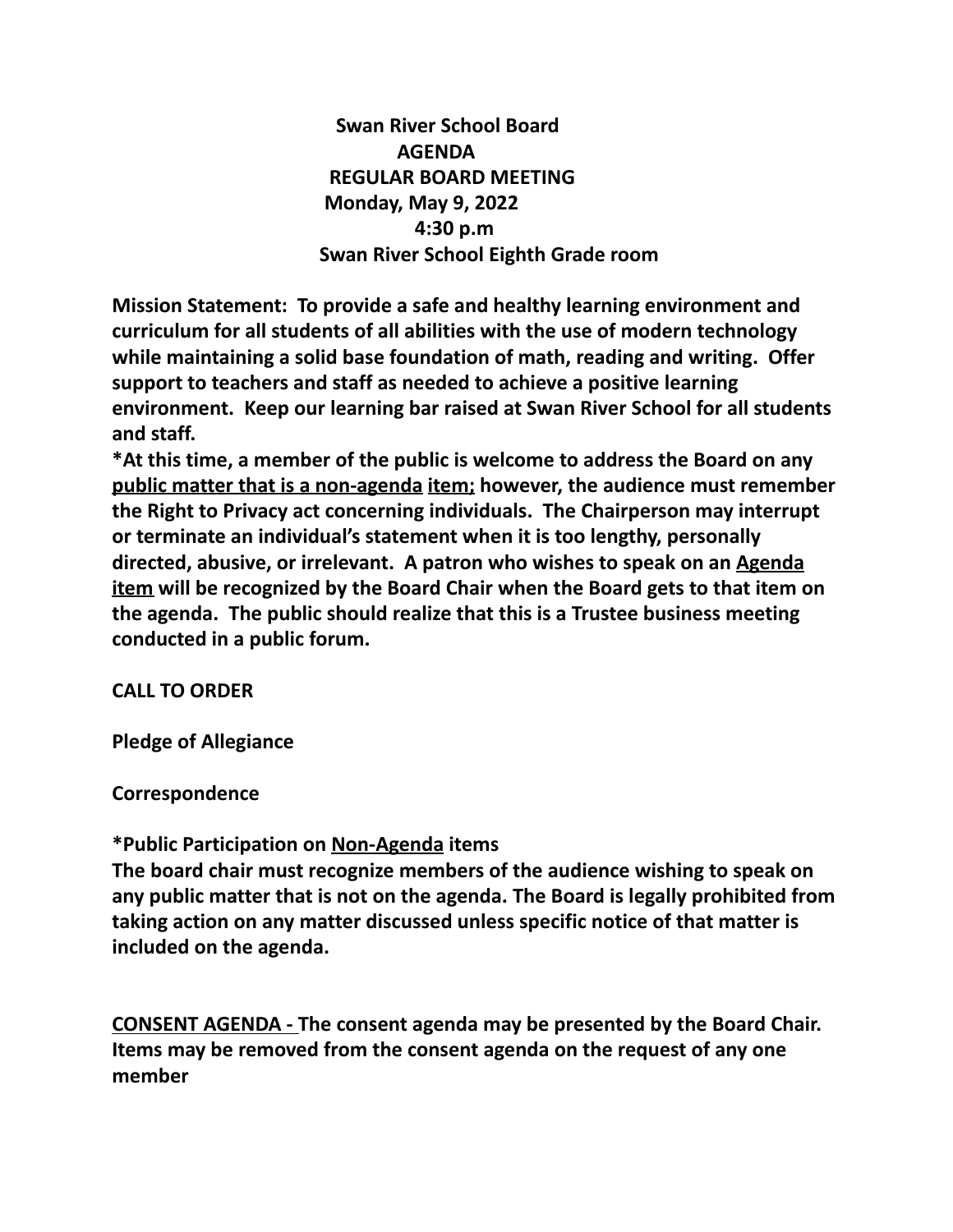**Swan River School Board AGENDA REGULAR BOARD MEETING Monday, May 9, 2022 4:30 p.m Swan River School Eighth Grade room**

**Mission Statement: To provide a safe and healthy learning environment and curriculum for all students of all abilities with the use of modern technology while maintaining a solid base foundation of math, reading and writing. Offer support to teachers and staff as needed to achieve a positive learning environment. Keep our learning bar raised at Swan River School for all students and staff.**

**\*At this time, a member of the public is welcome to address the Board on any public matter that is a non-agenda item; however, the audience must remember the Right to Privacy act concerning individuals. The Chairperson may interrupt or terminate an individual's statement when it is too lengthy, personally directed, abusive, or irrelevant. A patron who wishes to speak on an Agenda item will be recognized by the Board Chair when the Board gets to that item on the agenda. The public should realize that this is a Trustee business meeting conducted in a public forum.**

#### **CALL TO ORDER**

**Pledge of Allegiance**

**Correspondence**

#### **\*Public Participation on Non-Agenda items**

**The board chair must recognize members of the audience wishing to speak on any public matter that is not on the agenda. The Board is legally prohibited from taking action on any matter discussed unless specific notice of that matter is included on the agenda.**

**CONSENT AGENDA - The consent agenda may be presented by the Board Chair. Items may be removed from the consent agenda on the request of any one member**